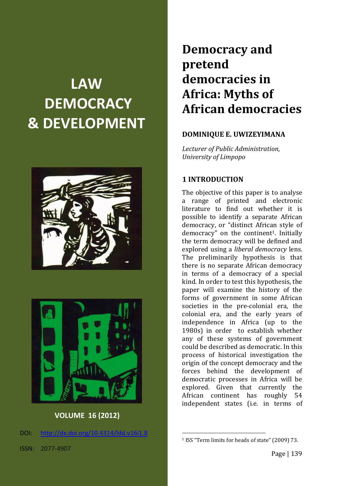# **LAW DEMOCRACY & DEVELOPMENT**





## **VOLUME 16 (2012)**

DOI: [http://dx.doi.org/10.4314/ldd.v16i1.8](http://dx.doi.org/10.4314/ldd.v16i1.2)

## **Democracy and pretend democracies in Africa: Myths of African democracies**

## **DOMINIQUE E. UWIZEYIMANA**

*Lecturer of Public Administration, University of Limpopo*

## **1 INTRODUCTION**

The objective of this paper is to analyse a range of printed and electronic literature to find out whether it is possible to identify a separate African democracy, or "distinct African style of democracy" on the continent<sup>1</sup>. Initially the term democracy will be defined and explored using a *liberal democracy* lens. The preliminarily hypothesis is that there is no separate African democracy in terms of a democracy of a special kind. In order to test this hypothesis, the paper will examine the history of the forms of government in some African societies in the pre-colonial era, the colonial era, and the early years of independence in Africa (up to the 1980s) in order to establish whether any of these systems of government could be described as democratic. In this process of historical investigation the origin of the concept democracy and the forces behind the development of democratic processes in Africa will be explored. Given that currently the African continent has roughly 54 independent states (i.e. in terms of

<sup>1</sup> ISS "Term limits for heads of state" (2009) 73.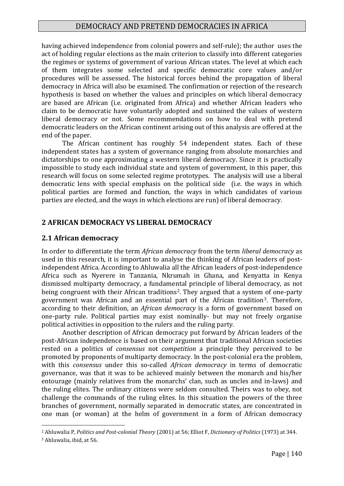having achieved independence from colonial powers and self-rule); the author uses the act of holding regular elections as the main criterion to classify into different categories the regimes or systems of government of various African states. The level at which each of them integrates some selected and specific democratic core values and/or procedures will be assessed. The historical forces behind the propagation of liberal democracy in Africa will also be examined. The confirmation or rejection of the research hypothesis is based on whether the values and principles on which liberal democracy are based are African (i.e. originated from Africa) and whether African leaders who claim to be democratic have voluntarily adopted and sustained the values of western liberal democracy or not. Some recommendations on how to deal with pretend democratic leaders on the African continent arising out of this analysis are offered at the end of the paper.

The African continent has roughly 54 independent states. Each of these independent states has a system of governance ranging from absolute monarchies and dictatorships to one approximating a western liberal democracy. Since it is practically impossible to study each individual state and system of government, in this paper, this research will focus on some selected regime prototypes. The analysis will use a liberal democratic lens with special emphasis on the political side (i.e. the ways in which political parties are formed and function, the ways in which candidates of various parties are elected, and the ways in which elections are run) of liberal democracy.

## **2 AFRICAN DEMOCRACY VS LIBERAL DEMOCRACY**

#### **2.1 African democracy**

In order to differentiate the term *African democracy* from the term *liberal democracy* as used in this research, it is important to analyse the thinking of African leaders of postindependent Africa. According to Ahluwalia all the African leaders of post-independence Africa such as Nyerere in Tanzania, Nkrumah in Ghana, and Kenyatta in Kenya dismissed multiparty democracy, a fundamental principle of liberal democracy, as not being congruent with their African traditions<sup>2</sup>. They argued that a system of one-party government was African and an essential part of the African tradition3. Therefore, according to their definition, an *African democracy* is a form of government based on one-party rule. Political parties may exist nominally- but may not freely organise political activities in opposition to the rulers and the ruling party.

Another description of African democracy put forward by African leaders of the post-African independence is based on their argument that traditional African societies rested on a politics of *consensus* not *competition* a principle they perceived to be promoted by proponents of multiparty democracy. In the post-colonial era the problem, with this *consensus* under this so-called *African democracy* in terms of democratic governance, was that it was to be achieved mainly between the monarch and his/her entourage (mainly relatives from the monarchs' clan, such as uncles and in-laws) and the ruling elites. The ordinary citizens were seldom consulted. Theirs was to obey, not challenge the commands of the ruling elites. In this situation the powers of the three branches of government, normally separated in democratic states, are concentrated in one man (or woman) at the helm of government in a form of African democracy

<sup>2</sup> Ahluwalia P, *Politics and Post-colonial Theory* (2001) at 56; Elliot F, *Dictionary of Politics* (1973) at 344.

<sup>3</sup> Ahluwalia, ibid, at 56.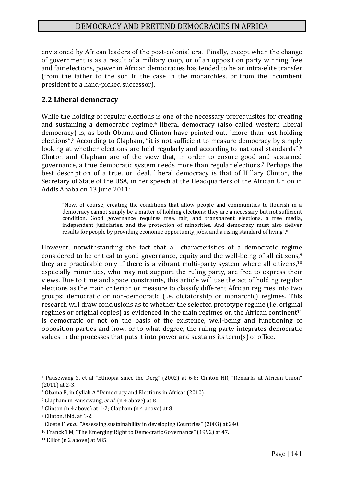envisioned by African leaders of the post-colonial era. Finally, except when the change of government is as a result of a military coup, or of an opposition party winning free and fair elections, power in African democracies has tended to be an intra-elite transfer (from the father to the son in the case in the monarchies, or from the incumbent president to a hand-picked successor).

## **2.2 Liberal democracy**

While the holding of regular elections is one of the necessary prerequisites for creating and sustaining a democratic regime, <sup>4</sup> liberal democracy (also called western liberal democracy) is, as both Obama and Clinton have pointed out, "more than just holding elections". <sup>5</sup> According to Clapham, "it is not sufficient to measure democracy by simply looking at whether elections are held regularly and according to national standards".<sup>6</sup> Clinton and Clapham are of the view that, in order to ensure good and sustained governance, a true democratic system needs more than regular elections. <sup>7</sup> Perhaps the best description of a true, or ideal, liberal democracy is that of Hillary Clinton, the Secretary of State of the USA, in her speech at the Headquarters of the African Union in Addis Ababa on 13 June 2011:

"Now, of course, creating the conditions that allow people and communities to flourish in a democracy cannot simply be a matter of holding elections; they are a necessary but not sufficient condition. Good governance requires free, fair, and transparent elections, a free media, independent judiciaries, and the protection of minorities. And democracy must also deliver results for people by providing economic opportunity, jobs, and a rising standard of living".<sup>8</sup>

However, notwithstanding the fact that all characteristics of a democratic regime considered to be critical to good governance, equity and the well-being of all citizens,<sup>9</sup> they are practicable only if there is a vibrant multi-party system where all citizens,<sup>10</sup> especially minorities, who may not support the ruling party, are free to express their views. Due to time and space constraints, this article will use the act of holding regular elections as the main criterion or measure to classify different African regimes into two groups: democratic or non-democratic (i.e. dictatorship or monarchic) regimes. This research will draw conclusions as to whether the selected prototype regime (i.e. original regimes or original copies) as evidenced in the main regimes on the African continent<sup>11</sup> is democratic or not on the basis of the existence, well-being and functioning of opposition parties and how, or to what degree, the ruling party integrates democratic values in the processes that puts it into power and sustains its term(s) of office.

<sup>4</sup> Pausewang S, et al "Ethiopia since the Derg" (2002) at 6-8; Clinton HR, "Remarks at African Union" (2011) at 2-3.

<sup>5</sup> Obama B, in Cyllah A "Democracy and Elections in Africa" (2010).

<sup>6</sup> Clapham in Pausewang, *et al*. (n 4 above) at 8.

<sup>7</sup> Clinton (n 4 above) at 1-2; Clapham (n 4 above) at 8.

<sup>8</sup> Clinton, ibid, at 1-2.

<sup>9</sup> Cloete F, *et al*. "Assessing sustainability in developing Countries" (2003) at 240.

<sup>10</sup> Franck TM, "The Emerging Right to Democratic Governance" (1992) at 47.

<sup>11</sup> Elliot (n 2 above) at 985.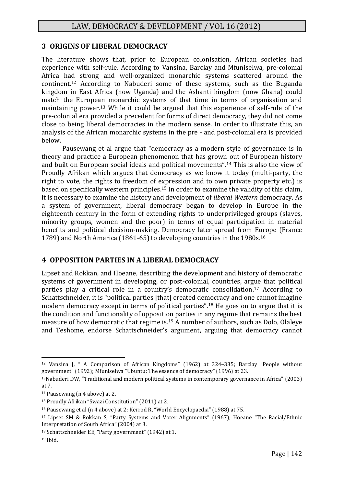## **3 ORIGINS OF LIBERAL DEMOCRACY**

The literature shows that, prior to European colonisation, African societies had experience with self-rule. According to Vansina, Barclay and Mfuniselwa, pre-colonial Africa had strong and well-organized monarchic systems scattered around the continent. <sup>12</sup> According to Nabuderi some of these systems, such as the Buganda kingdom in East Africa (now Uganda) and the Ashanti kingdom (now Ghana) could match the European monarchic systems of that time in terms of organisation and maintaining power. <sup>13</sup> While it could be argued that this experience of self-rule of the pre-colonial era provided a precedent for forms of direct democracy, they did not come close to being liberal democracies in the modern sense. In order to illustrate this, an analysis of the African monarchic systems in the pre - and post-colonial era is provided below.

Pausewang et al argue that "democracy as a modern style of governance is in theory and practice a European phenomenon that has grown out of European history and built on European social ideals and political movements". <sup>14</sup> This is also the view of Proudly Afrikan which argues that democracy as we know it today (multi-party, the right to vote, the rights to freedom of expression and to own private property etc.) is based on specifically western principles. <sup>15</sup> In order to examine the validity of this claim, it is necessary to examine the history and development of *liberal Western* democracy. As a system of government, liberal democracy began to develop in Europe in the eighteenth century in the form of extending rights to underprivileged groups (slaves, minority groups, women and the poor) in terms of equal participation in material benefits and political decision-making. Democracy later spread from Europe (France 1789) and North America (1861-65) to developing countries in the 1980s. 16

## **4 OPPOSITION PARTIES IN A LIBERAL DEMOCRACY**

Lipset and Rokkan, and Hoeane, describing the development and history of democratic systems of government in developing, or post-colonial, countries, argue that political parties play a critical role in a country's democratic consolidation. <sup>17</sup> According to Schattschneider, it is "political parties [that] created democracy and one cannot imagine modern democracy except in terms of political parties". <sup>18</sup> He goes on to argue that it is the condition and functionality of opposition parties in any regime that remains the best measure of how democratic that regime is.<sup>19</sup> A number of authors, such as Dolo, Olaleye and Teshome, endorse Schattschneider's argument, arguing that democracy cannot

<sup>12</sup> Vansina J, " A Comparison of African Kingdoms" (1962) at 324–335; Barclay "People without government" (1992); Mfuniselwa "Ubuntu: The essence of democracy" (1996) at 23.

<sup>13</sup>Nabuderi DW, "Traditional and modern political systems in contemporary governance in Africa" (2003) at 7.

<sup>14</sup> Pausewang (n 4 above) at 2.

<sup>15</sup> Proudly Afrikan "Swazi Constitution" (2011) at 2.

<sup>16</sup> Pausewang et al (n 4 above) at 2; Kerrod R, "World Encyclopaedia" (1988) at 75.

<sup>17</sup> Lipset SM & Rokkan S, "Party Systems and Voter Alignments" (1967); Hoeane "The Racial/Ethnic Interpretation of South Africa" (2004) at 3.

<sup>18</sup> Schattschneider EE, "Party government" (1942) at 1.

<sup>19</sup> Ibid.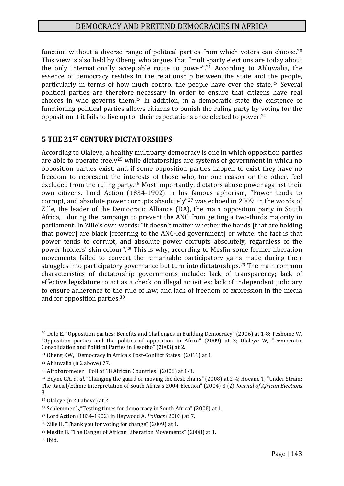function without a diverse range of political parties from which voters can choose.<sup>20</sup> This view is also held by Obeng, who argues that "multi-party elections are today about the only internationally acceptable route to power". <sup>21</sup> According to Ahluwalia, the essence of democracy resides in the relationship between the state and the people, particularly in terms of how much control the people have over the state. <sup>22</sup> Several political parties are therefore necessary in order to ensure that citizens have real choices in who governs them. <sup>23</sup> In addition, in a democratic state the existence of functioning political parties allows citizens to punish the ruling party by voting for the opposition if it fails to live up to their expectations once elected to power.<sup>24</sup>

## **5 THE 21ST CENTURY DICTATORSHIPS**

According to Olaleye, a healthy multiparty democracy is one in which opposition parties are able to operate freely<sup>25</sup> while dictatorships are systems of government in which no opposition parties exist, and if some opposition parties happen to exist they have no freedom to represent the interests of those who, for one reason or the other, feel excluded from the ruling party.<sup>26</sup> Most importantly, dictators abuse power against their own citizens. Lord Action (1834-1902) in his famous aphorism, "Power tends to corrupt, and absolute power corrupts absolutely"<sup>27</sup> was echoed in 2009 in the words of Zille, the leader of the Democratic Alliance (DA), the main opposition party in South Africa, during the campaign to prevent the ANC from getting a two-thirds majority in parliament. In Zille's own words: "it doesn't matter whether the hands [that are holding that power] are black [referring to the ANC-led government] or white: the fact is that power tends to corrupt, and absolute power corrupts absolutely, regardless of the power holders' skin colour". <sup>28</sup> This is why, according to Mesfin some former liberation movements failed to convert the remarkable participatory gains made during their struggles into participatory governance but turn into dictatorships.<sup>29</sup> The main common characteristics of dictatorship governments include: lack of transparency; lack of effective legislature to act as a check on illegal activities; lack of independent judiciary to ensure adherence to the rule of law; and lack of freedom of expression in the media and for opposition parties. 30

<sup>1</sup> <sup>20</sup> Dolo E, "Opposition parties: Benefits and Challenges in Building Democracy" (2006) at 1-8; Teshome W, "Opposition parties and the politics of opposition in Africa" (2009) at 3; Olaleye W, "Democratic Consolidation and Political Parties in Lesotho" (2003) at 2.

<sup>21</sup> Obeng KW, "Democracy in Africa's Post-Conflict States" (2011) at 1.

<sup>22</sup> Ahluwalia (n 2 above) 77.

<sup>23</sup> Afrobarometer "Poll of 18 African Countries" (2006) at 1-3.

<sup>24</sup> Boyne GA, *et al*. "Changing the guard or moving the desk chairs" (2008) at 2-4; Hoeane T, "Under Strain: The Racial/Ethnic Interpretation of South Africa's 2004 Election" (2004) 3 (2) *Journal of African Elections*  3.

<sup>25</sup> Olaleye (n 20 above) at 2.

<sup>26</sup> Schlemmer L,"Testing times for democracy in South Africa" (2008) at 1.

<sup>27</sup> Lord Action (1834-1902) in Heywood A, *Politics* (2003) at 7.

<sup>28</sup> Zille H, "Thank you for voting for change" (2009) at 1.

<sup>29</sup> Mesfin B, "The Danger of African Liberation Movements" (2008) at 1.

<sup>30</sup> Ibid.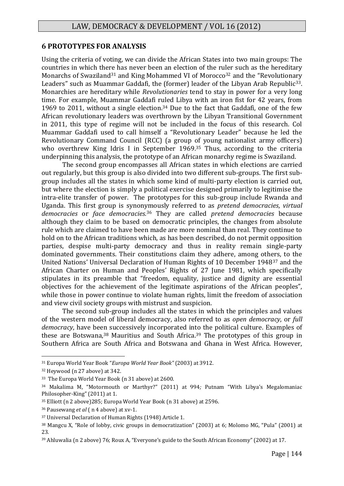#### **6 PROTOTYPES FOR ANALYSIS**

Using the criteria of voting, we can divide the African States into two main groups: The countries in which there has never been an election of the ruler such as the hereditary Monarchs of Swaziland<sup>31</sup> and King Mohammed VI of Morocco<sup>32</sup> and the "Revolutionary" Leaders" such as Muammar Gaddafi, the (former) leader of the Libyan Arab Republic<sup>33</sup>. Monarchies are hereditary while *Revolutionaries* tend to stay in power for a very long time. For example, Muammar Gaddafi ruled Libya with an iron fist for 42 years, from 1969 to 2011, without a single election. <sup>34</sup> Due to the fact that Gaddafi, one of the few African revolutionary leaders was overthrown by the Libyan Transitional Government in 2011, this type of regime will not be included in the focus of this research. Col Muammar Gaddafi used to call himself a "Revolutionary Leader" because he led the Revolutionary Command Council (RCC) (a group of young nationalist army officers) who overthrew King Idris I in September 1969.<sup>35</sup> Thus, according to the criteria underpinning this analysis, the prototype of an African monarchy regime is Swaziland.

The second group encompasses all African states in which elections are carried out regularly, but this group is also divided into two different sub-groups. The first subgroup includes all the states in which some kind of multi-party election is carried out, but where the election is simply a political exercise designed primarily to legitimise the intra-elite transfer of power. The prototypes for this sub-group include Rwanda and Uganda. This first group is synonymously referred to as *pretend democracies*, *virtual democracies* or *face democracies.* <sup>36</sup> They are called *pretend democracies* because although they claim to be based on democratic principles, the changes from absolute rule which are claimed to have been made are more nominal than real. They continue to hold on to the African traditions which, as has been described, do not permit opposition parties, despise multi-party democracy and thus in reality remain single-party dominated governments. Their constitutions claim they adhere, among others, to the United Nations' Universal Declaration of Human Rights of 10 December 1948<sup>37</sup> and the African Charter on Human and Peoples' Rights of 27 June 1981, which specifically stipulates in its preamble that "freedom, equality, justice and dignity are essential objectives for the achievement of the legitimate aspirations of the African peoples", while those in power continue to violate human rights, limit the freedom of association and view civil society groups with mistrust and suspicion.

The second sub-group includes all the states in which the principles and values of the western model of liberal democracy, also referred to as *open democracy*, or *full democracy*, have been successively incorporated into the political culture. Examples of these are Botswana, <sup>38</sup> Mauritius and South Africa. <sup>39</sup> The prototypes of this group in Southern Africa are South Africa and Botswana and Ghana in West Africa. However,

<sup>31</sup> Europa World Year Book "*Europa World Year Book"* (2003) at 3912.

<sup>32</sup> Heywood (n 27 above) at 342.

<sup>33</sup> The Europa World Year Book (n 31 above) at 2600.

<sup>34</sup> Makalima M, "Motormouth or Marthyr?" (2011) at 994*;* Putnam "With Libya's Megalomaniac Philosopher-King" (2011) at 1.

<sup>35</sup> Elliott (n 2 above)285; Europa World Year Book (n 31 above) at 2596.

<sup>36</sup> Pausewang *et al* ( n 4 above) at xv-1.

<sup>37</sup> Universal Declaration of Human Rights (1948) Article 1.

<sup>38</sup> Mangcu X, "Role of lobby, civic groups in democratization" (2003) at 6; Molomo MG, "Pula" (2001) at 23.

<sup>39</sup> Ahluwalia (n 2 above) 76; Roux A, "Everyone's guide to the South African Economy" (2002) at 17.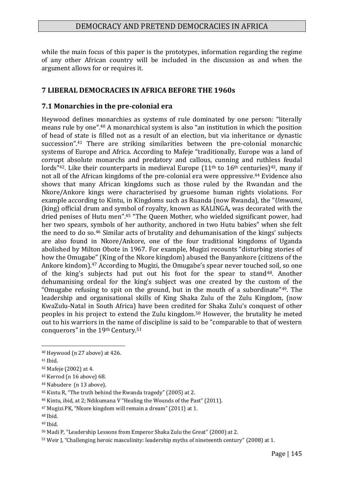while the main focus of this paper is the prototypes, information regarding the regime of any other African country will be included in the discussion as and when the argument allows for or requires it.

#### **7 LIBERAL DEMOCRACIES IN AFRICA BEFORE THE 1960s**

#### **7.1 Monarchies in the pre-colonial era**

Heywood defines monarchies as systems of rule dominated by one person: "literally means rule by one". <sup>40</sup> A monarchical system is also "an institution in which the position of head of state is filled not as a result of an election, but via inheritance or dynastic succession". <sup>41</sup> There are striking similarities between the pre-colonial monarchic systems of Europe and Africa. According to Mafeje "traditionally, Europe was a land of corrupt absolute monarchs and predatory and callous, cunning and ruthless feudal lords"<sup>42</sup>. Like their counterparts in medieval Europe  $(11<sup>th</sup>$  to  $16<sup>th</sup>$  centuries)<sup>43</sup>, many if not all of the African kingdoms of the pre-colonial era were oppressive. <sup>44</sup> Evidence also shows that many African kingdoms such as those ruled by the Rwandan and the Nkore/Ankore kings were characterised by gruesome human rights violations. For example according to Kintu, in Kingdoms such as Ruanda (now Rwanda), the "*Umwami*, (king) official drum and symbol of royalty, known as KALINGA**,** was decorated with the dried penises of Hutu men". <sup>45</sup> "The Queen Mother, who wielded significant power, had her two spears, symbols of her authority, anchored in two Hutu babies" when she felt the need to do so. <sup>46</sup> Similar acts of brutality and dehumanisation of the kings' subjects are also found in Nkore/Ankore, one of the four traditional kingdoms of Uganda abolished by Milton Obote in 1967. For example, Mugizi recounts "disturbing stories of how the Omugabe" (King of the Nkore kingdom) abused the Banyankore (citizens of the Ankore kindom). <sup>47</sup> According to Mugizi, the Omugabe's spear never touched soil, so one of the king's subjects had put out his foot for the spear to stand48. Another dehumanising ordeal for the king's subject was one created by the custom of the "Omugabe refusing to spit on the ground, but in the mouth of a subordinate" $49$ . The leadership and organisational skills of King Shaka Zulu of the Zulu Kingdom, (now KwaZulu-Natal in South Africa) have been credited for Shaka Zulu's conquest of other peoples in his project to extend the Zulu kingdom. <sup>50</sup> However, the brutality he meted out to his warriors in the name of discipline is said to be "comparable to that of western conquerors" in the 19th Century.<sup>51</sup>

<sup>40</sup> Heywood (n 27 above) at 426.

<sup>41</sup> Ibid.

<sup>42</sup> Mafeje (2002) at 4.

<sup>43</sup> Kerrod (n 16 above) 68.

<sup>44</sup> Nabudere (n 13 above).

<sup>45</sup> Kintu R, "The truth behind the Rwanda tragedy" (2005) at 2.

<sup>46</sup> Kintu, ibid, at 2; Ndikumana V "Healing the Wounds of the Past" (2011).

<sup>47</sup> Mugizi PK, "Nkore kingdom will remain a dream" (2011) at 1.

<sup>48</sup> Ibid.

<sup>49</sup> Ibid.

<sup>50</sup> Madi P, "Leadership Lessons from Emperor Shaka Zulu the Great" (2000) at 2.

<sup>51</sup> Weir J, "Challenging heroic masculinity: leadership myths of nineteenth century" (2008) at 1*.*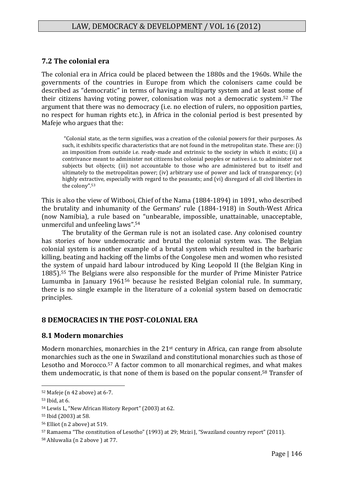## **7.2 The colonial era**

The colonial era in Africa could be placed between the 1880s and the 1960s. While the governments of the countries in Europe from which the colonisers came could be described as "democratic" in terms of having a multiparty system and at least some of their citizens having voting power, colonisation was not a democratic system. <sup>52</sup> The argument that there was no democracy (i.e. no election of rulers, no opposition parties, no respect for human rights etc.), in Africa in the colonial period is best presented by Mafeje who argues that the:

"Colonial state, as the term signifies, was a creation of the colonial powers for their purposes. As such, it exhibits specific characteristics that are not found in the metropolitan state. These are: (i) an imposition from outside i.e. ready-made and extrinsic to the society in which it exists; (ii) a contrivance meant to administer not citizens but colonial peoples or natives i.e. to administer not subjects but objects; (iii) not accountable to those who are administered but to itself and ultimately to the metropolitan power; (iv) arbitrary use of power and lack of transparency; (v) highly extractive, especially with regard to the peasants; and (vi) disregard of all civil liberties in the colony". 53

This is also the view of Witbooi, Chief of the Nama (1884-1894) in 1891, who described the brutality and inhumanity of the Germans' rule (1884-1918) in South-West Africa (now Namibia), a rule based on "unbearable, impossible, unattainable, unacceptable, unmerciful and unfeeling laws". 54

The brutality of the German rule is not an isolated case. Any colonised country has stories of how undemocratic and brutal the colonial system was. The Belgian colonial system is another example of a brutal system which resulted in the barbaric killing, beating and hacking off the limbs of the Congolese men and women who resisted the system of unpaid hard labour introduced by King Leopold II (the Belgian King in 1885). <sup>55</sup> The Belgians were also responsible for the murder of Prime Minister Patrice Lumumba in January 1961<sup>56</sup> because he resisted Belgian colonial rule. In summary, there is no single example in the literature of a colonial system based on democratic principles.

## **8 DEMOCRACIES IN THE POST-COLONIAL ERA**

## **8.1 Modern monarchies**

Modern monarchies, monarchies in the 21st century in Africa, can range from absolute monarchies such as the one in Swaziland and constitutional monarchies such as those of Lesotho and Morocco. <sup>57</sup> A factor common to all monarchical regimes, and what makes them undemocratic, is that none of them is based on the popular consent. <sup>58</sup> Transfer of

<sup>52</sup> Mafeje (n 42 above) at 6-7.

<sup>53</sup> Ibid, at 6.

<sup>54</sup> Lewis L, "New African History Report" (2003) at 62.

<sup>55</sup> Ibid (2003) at 58.

<sup>56</sup> Elliot (n 2 above) at 519.

<sup>57</sup> Ramaema "The constitution of Lesotho" (1993) at 29; Mzizi J, "Swaziland country report" (2011).

<sup>58</sup> Ahluwalia (n 2 above ) at 77.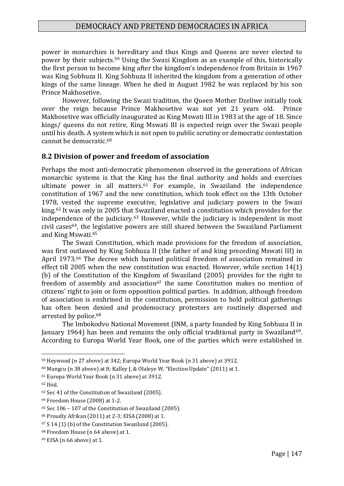power in monarchies is hereditary and thus Kings and Queens are never elected to power by their subjects. <sup>59</sup> Using the Swazi Kingdom as an example of this, historically the first person to become king after the kingdom's independence from Britain in 1967 was King Sobhuza II. King Sobhuza II inherited the kingdom from a generation of other kings of the same lineage. When he died in August 1982 he was replaced by his son Prince Makhosetive.

However, following the Swazi tradition, the Queen Mother Dzeliwe initially took over the reign because Prince Makhosetive was not yet 21 years old. Prince Makhosetive was officially inaugurated as King Mswati III in 1983 at the age of 18. Since kings/ queens do not retire, King Mswati III is expected reign over the Swazi people until his death. A system which is not open to public scrutiny or democratic contestation cannot be democratic. 60

## **8.2 Division of power and freedom of association**

Perhaps the most anti-democratic phenomenon observed in the generations of African monarchic systems is that the King has the final authority and holds and exercises ultimate power in all matters. <sup>61</sup> For example, in Swaziland the independence constitution of 1967 and the new constitution, which took effect on the 13th October 1978, vested the supreme executive, legislative and judiciary powers in the Swazi king. <sup>62</sup> It was only in 2005 that Swaziland enacted a constitution which provides for the independence of the judiciary. <sup>63</sup> However, while the judiciary is independent in most civil cases64, the legislative powers are still shared between the Swaziland Parliament and King Mswati. 65

The Swazi Constitution, which made provisions for the freedom of association, was first outlawed by King Sobhuza II (the father of and king preceding Mswati III) in April 1973. <sup>66</sup> The decree which banned political freedom of association remained in effect till 2005 when the new constitution was enacted. However, while section 14(1) (b) of the Constitution of the Kingdom of Swaziland (2005) provides for the right to freedom of assembly and association<sup>67</sup> the same Constitution makes no mention of citizens' right to join or form opposition political parties. In addition, although freedom of association is enshrined in the constitution, permission to hold political gatherings has often been denied and prodemocracy protesters are routinely dispersed and arrested by police. 68

The Imbokodvo National Movement (INM, a party founded by King Sobhuza II in January 1964) has been and remains the only official traditional party in Swaziland<sup>69</sup>. According to Europa World Year Book, one of the parties which were established in

<sup>59</sup> Heywood (n 27 above) at 342; Europa World Year Book (n 31 above) at 3912.

<sup>60</sup> Mangcu (n 38 above) at 8; Kalley J, & Olaleye W, "Election Update" (2011) at 1.

<sup>61</sup> Europa World Year Book (n 31 above) at 3912.

<sup>62</sup> Ibid.

<sup>63</sup> Sec 41 of the Constitution of Swaziland (2005).

<sup>64</sup> Freedom House (2008) at 1-2.

<sup>65</sup> Sec 106 – 107 of the Constitution of Swaziland (2005).

<sup>66</sup> Proudly Afrikan (2011) at 2-3; EISA (2008) at 1.

<sup>67</sup> S 14 (1) (b) of the Constitution Swaziland (2005).

<sup>68</sup> Freedom House (n 64 above) at 1.

<sup>69</sup> EISA (n 66 above) at 1.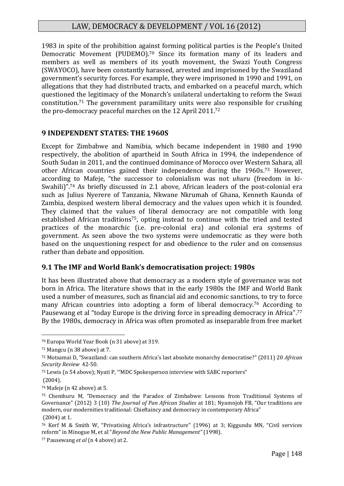1983 in spite of the prohibition against forming political parties is the People's United Democratic Movement (PUDEMO). <sup>70</sup> Since its formation many of its leaders and members as well as members of its youth movement, the Swazi Youth Congress (SWAYOCO), have been constantly harassed, arrested and imprisoned by the Swaziland government's security forces. For example, they were imprisoned in 1990 and 1991, on allegations that they had distributed tracts, and embarked on a peaceful march, which questioned the legitimacy of the Monarch's unilateral undertaking to reform the Swazi constitution. <sup>71</sup> The government paramilitary units were also responsible for crushing the pro-democracy peaceful marches on the 12 April 2011. 72

## **9 INDEPENDENT STATES: THE 1960S**

Except for Zimbabwe and Namibia, which became independent in 1980 and 1990 respectively, the abolition of apartheid in South Africa in 1994, the independence of South Sudan in 2011, and the continued dominance of Morocco over Western Sahara, all other African countries gained their independence during the 1960s. <sup>73</sup> However, according to Mafeje, "the successor to colonialism was not *uhuru* (freedom in ki-Swahili)".<sup>74</sup> As briefly discussed in 2.1 above, African leaders of the post-colonial era such as Julius Nyerere of Tanzania, Nkwane Nkrumah of Ghana, Kenneth Kaunda of Zambia, despised western liberal democracy and the values upon which it is founded. They claimed that the values of liberal democracy are not compatible with long established African traditions<sup>75</sup>, opting instead to continue with the tried and tested practices of the monarchic (i.e. pre-colonial era) and colonial era systems of government. As seen above the two systems were undemocratic as they were both based on the unquestioning respect for and obedience to the ruler and on consensus rather than debate and opposition.

## **9.1 The IMF and World Bank's democratisation project: 1980s**

It has been illustrated above that democracy as a modern style of governance was not born in Africa. The literature shows that in the early 1980s the IMF and World Bank used a number of measures, such as financial aid and economic sanctions, to try to force many African countries into adopting a form of liberal democracy.<sup>76</sup> According to Pausewang et al "today Europe is the driving force in spreading democracy in Africa".<sup>77</sup> By the 1980s, democracy in Africa was often promoted as inseparable from free market

<sup>70</sup> Europa World Year Book (n 31 above) at 319.

<sup>71</sup> Mangcu (n 38 above) at 7.

<sup>72</sup> Motsamai D, "Swaziland: can southern Africa's last absolute monarchy democratise?" (2011) 20 *African Security Review* 42-50.

<sup>73</sup> Lewis (n 54 above); Nyati P, '"MDC Spokesperson interview with SABC reporters"

<sup>(2004).</sup>

<sup>74</sup> Mafeje (n 42 above) at 5.

<sup>75</sup> Chemhuru M, "Democracy and the Paradox of Zimbabwe: Lessons from Traditional Systems of Governance" (2012) 3 (10) *The Journal of Pan African Studies* at 181; Nyamnjoh FB, "Our traditions are modern, our modernities traditional: Chieftaincy and democracy in contemporary Africa" (2004) at 1.

<sup>76</sup> Kerf M & Smith W, "Privatising Africa's infrastructure" (1996) at 3; Kiggundu MN, "Civil services reform" in Minogue M, et al "*Beyond the New Public Management"* (1998).

<sup>77</sup> Pausewang *et al* (n 4 above) at 2.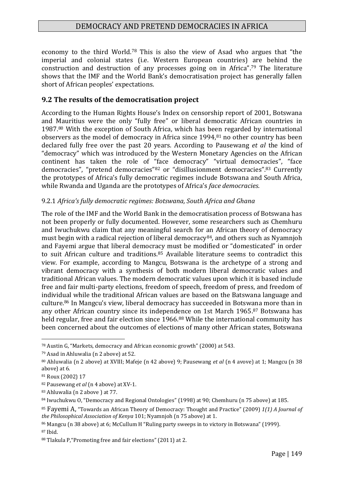economy to the third World.<sup>78</sup> This is also the view of Asad who argues that "the imperial and colonial states (i.e. Western European countries) are behind the construction and destruction of any processes going on in Africa". <sup>79</sup> The literature shows that the IMF and the World Bank's democratisation project has generally fallen short of African peoples' expectations.

#### **9.2 The results of the democratisation project**

According to the Human Rights House's Index on censorship report of 2001, Botswana and Mauritius were the only "fully free" or liberal democratic African countries in 1987. <sup>80</sup> With the exception of South Africa, which has been regarded by international observers as the model of democracy in Africa since 1994, <sup>81</sup> no other country has been declared fully free over the past 20 years. According to Pausewang *et al* the kind of "democracy" which was introduced by the Western Monetary Agencies on the African continent has taken the role of "face democracy" "virtual democracies", "face democracies", "pretend democracies"<sup>82</sup> or "disillusionment democracies". <sup>83</sup> Currently the prototypes of Africa's fully democratic regimes include Botswana and South Africa, while Rwanda and Uganda are the prototypes of Africa's *face democracies*.

#### 9.2.1 *Africa's fully democratic regimes: Botswana, South Africa and Ghana*

The role of the IMF and the World Bank in the democratisation process of Botswana has not been properly or fully documented. However, some researchers such as Chemhuru and Iwuchukwu claim that any meaningful search for an African theory of democracy must begin with a radical rejection of liberal democracy<sup>84</sup>, and others such as Nyamnioh and Fayemi argue that liberal democracy must be modified or "domesticated" in order to suit African culture and traditions. <sup>85</sup> Available literature seems to contradict this view. For example, according to Mangcu, Botswana is the archetype of a strong and vibrant democracy with a synthesis of both modern liberal democratic values and traditional African values. The modern democratic values upon which it is based include free and fair multi-party elections, freedom of speech, freedom of press, and freedom of individual while the traditional African values are based on the Batswana language and culture. <sup>86</sup> In Mangcu's view, liberal democracy has succeeded in Botswana more than in any other African country since its independence on 1st March 1965. <sup>87</sup> Botswana has held regular, free and fair election since 1966.<sup>88</sup> While the international community has been concerned about the outcomes of elections of many other African states, Botswana

<sup>78</sup> Austin G, "Markets, democracy and African economic growth" (2000) at 543*.*

<sup>79</sup> Asad in Ahluwalia (n 2 above) at 52.

<sup>80</sup> Ahluwalia (n 2 above) at XVIII; Mafeje (n 42 above) 9; Pausewang *et al* (n 4 avove) at 1; Mangcu (n 38 above) at 6.

<sup>81</sup> Roux (2002) 17

<sup>82</sup> Pausewang *et al* (n 4 above) at XV-1.

<sup>83</sup> Ahluwalia (n 2 above ) at 77.

<sup>&</sup>lt;sup>84</sup> Iwuchukwu O, "Democracy and Regional Ontologies" (1998) at 90; Chemhuru (n 75 above) at 185.

<sup>85</sup> Fayemi A, "Towards an African Theory of Democracy: Thought and Practice" (2009) *1(1) A Journal of the Philosophical Association of Kenya* 101; Nyamnjoh (n 75 above) at 1.

<sup>86</sup> Mangcu (n 38 above) at 6; McCullum H "Ruling party sweeps in to victory in Botswana" (1999).

<sup>87</sup> Ibid.

<sup>88</sup> Tlakula P,"Promoting free and fair elections" (2011) at 2.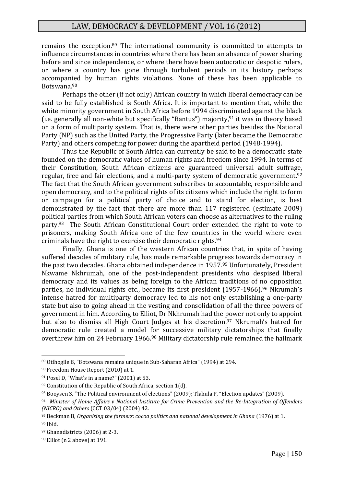remains the exception.<sup>89</sup> The international community is committed to attempts to influence circumstances in countries where there has been an absence of power sharing before and since independence, or where there have been autocratic or despotic rulers, or where a country has gone through turbulent periods in its history perhaps accompanied by human rights violations. None of these has been applicable to Botswana. 90

Perhaps the other (if not only) African country in which liberal democracy can be said to be fully established is South Africa. It is important to mention that, while the white minority government in South Africa before 1994 discriminated against the black (i.e. generally all non-white but specifically "Bantus") majority, <sup>91</sup> it was in theory based on a form of multiparty system. That is, there were other parties besides the National Party (NP) such as the United Party, the Progressive Party (later became the Democratic Party) and others competing for power during the apartheid period (1948-1994).

Thus the Republic of South Africa can currently be said to be a democratic state founded on the democratic values of human rights and freedom since 1994. In terms of their Constitution, South African citizens are guaranteed universal adult suffrage, regular, free and fair elections, and a multi-party system of democratic government.<sup>92</sup> The fact that the South African government subscribes to accountable, responsible and open democracy, and to the political rights of its citizens which include the right to form or campaign for a political party of choice and to stand for election, is best demonstrated by the fact that there are more than 117 registered (estimate 2009) political parties from which South African voters can choose as alternatives to the ruling party.<sup>93</sup> The South African Constitutional Court order extended the right to vote to prisoners, making South Africa one of the few countries in the world where even criminals have the right to exercise their democratic rights. 94

Finally, Ghana is one of the western African countries that, in spite of having suffered decades of military rule, has made remarkable progress towards democracy in the past two decades. Ghana obtained independence in 1957. <sup>95</sup> Unfortunately, President Nkwame Nkhrumah, one of the post-independent presidents who despised liberal democracy and its values as being foreign to the African traditions of no opposition parties, no individual rights etc., became its first president (1957-1966). <sup>96</sup> Nkrumah's intense hatred for multiparty democracy led to his not only establishing a one-party state but also to going ahead in the vesting and consolidation of all the three powers of government in him. According to Elliot, Dr Nkhrumah had the power not only to appoint but also to dismiss all High Court Judges at his discretion. <sup>97</sup> Nkrumah's hatred for democratic rule created a model for successive military dictatorships that finally overthrew him on 24 February 1966. <sup>98</sup> Military dictatorship rule remained the hallmark

<sup>89</sup> Otlhogile B, "Botswana remains unique in Sub-Saharan Africa" (1994) at 294.

<sup>90</sup> Freedom House Report (2010) at 1.

<sup>91</sup> Posel D, "What's in a name?" (2001) at 53.

<sup>&</sup>lt;sup>92</sup> Constitution of the Republic of South Africa, section 1(d).

<sup>93</sup> Booysen S, "The Political environment of elections" (2009); Tlakula P, "Election updates" (2009).

<sup>94</sup> *Minister of Home Affairs v National Institute for Crime Prevention and the Re-Integration of Offenders (NICRO) and Others* (CCT 03/04) (2004) 42.

<sup>95</sup> Beckman B, *Organising the farmers: cocoa politics and national development in Ghana* (1976) at 1. <sup>96</sup> Ibid.

<sup>97</sup> Ghanadistricts (2006) at 2-3.

<sup>98</sup> Elliot (n 2 above) at 191.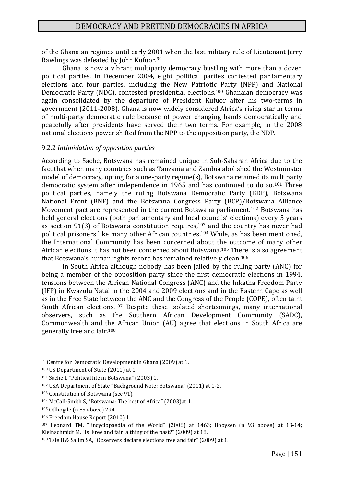of the Ghanaian regimes until early 2001 when the last military rule of Lieutenant Jerry Rawlings was defeated by John Kufuor. 99

Ghana is now a vibrant multiparty democracy bustling with more than a dozen political parties. In December 2004, eight political parties contested parliamentary elections and four parties, including the New Patriotic Party (NPP) and National Democratic Party (NDC), contested presidential elections. <sup>100</sup> Ghanaian democracy was again consolidated by the departure of President Kufuor after his two-terms in government (2011-2008). Ghana is now widely considered Africa's rising star in terms of multi-party democratic rule because of power changing hands democratically and peacefully after presidents have served their two terms. For example, in the 2008 national elections power shifted from the NPP to the opposition party, the NDP.

#### 9.2.2 *Intimidation of opposition parties*

According to Sache, Botswana has remained unique in Sub-Saharan Africa due to the fact that when many countries such as Tanzania and Zambia abolished the Westminster model of democracy, opting for a one-party regime(s), Botswana retained its multiparty democratic system after independence in 1965 and has continued to do so. <sup>101</sup> Three political parties, namely the ruling Botswana Democratic Party (BDP), Botswana National Front (BNF) and the Botswana Congress Party (BCP)/Botswana Alliance Movement pact are represented in the current Botswana parliament.<sup>102</sup> Botswana has held general elections (both parliamentary and local councils' elections) every 5 years as section  $91(3)$  of Botswana constitution requires,<sup>103</sup> and the country has never had political prisoners like many other African countries. <sup>104</sup> While, as has been mentioned, the International Community has been concerned about the outcome of many other African elections it has not been concerned about Botswana. <sup>105</sup> There is also agreement that Botswana's human rights record has remained relatively clean. 106

In South Africa although nobody has been jailed by the ruling party (ANC) for being a member of the opposition party since the first democratic elections in 1994, tensions between the African National Congress (ANC) and the Inkatha Freedom Party (IFP) in Kwazulu Natal in the 2004 and 2009 elections and in the Eastern Cape as well as in the Free State between the ANC and the Congress of the People (COPE), often taint South African elections.<sup>107</sup> Despite these isolated shortcomings, many international observers, such as the Southern African Development Community (SADC), Commonwealth and the African Union (AU) agree that elections in South Africa are generally free and fair. 108

<sup>99</sup> Centre for Democratic Development in Ghana (2009) at 1.

<sup>100</sup> US Department of State (2011) at 1.

<sup>101</sup> Sache I, "Political life in Botswana" (2003) 1.

<sup>102</sup> USA Department of State "Background Note: Botswana" (2011) at 1-2.

<sup>103</sup> Constitution of Botswana (sec 91).

<sup>104</sup> McCall-Smith S, "Botswana: The best of Africa" (2003)at 1.

<sup>105</sup> Otlhogile (n 85 above) 294.

<sup>106</sup> Freedom House Report (2010) 1.

<sup>107</sup> Leonard TM, "Encyclopaedia of the World" (2006) at 1463; Booysen (n 93 above) at 13-14; Kleinschmidt M, "Is 'Free and fair' a thing of the past?" (2009) at 18.

<sup>108</sup> Tsie B & Salim SA, "Observers declare elections free and fair" (2009) at 1.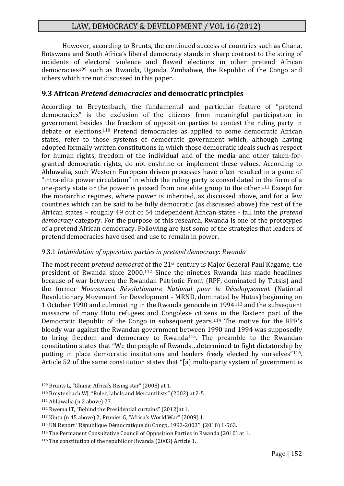However, according to Brunts, the continued success of countries such as Ghana, Botswana and South Africa's liberal democracy stands in sharp contrast to the string of incidents of electoral violence and flawed elections in other pretend African democracies<sup>109</sup> such as Rwanda, Uganda, Zimbabwe, the Republic of the Congo and others which are not discussed in this paper.

## **9.3 African** *Pretend democracies* **and democratic principles**

According to Breytenbach, the fundamental and particular feature of "pretend democracies" is the exclusion of the citizens from meaningful participation in government besides the freedom of opposition parties to contest the ruling party in debate or elections.<sup>110</sup> Pretend democracies as applied to some democratic African states, refer to those systems of democratic government which, although having adopted formally written constitutions in which those democratic ideals such as respect for human rights, freedom of the individual and of the media and other taken-forgranted democratic rights, do not enshrine or implement these values. According to Ahluwalia, such Western European driven processes have often resulted in a game of "intra-elite power circulation" in which the ruling party is consolidated in the form of a one-party state or the power is passed from one elite group to the other. <sup>111</sup> Except for the monarchic regimes, where power is inherited, as discussed above, and for a few countries which can be said to be fully democratic (as discussed above) the rest of the African states – roughly 49 out of 54 independent African states - fall into the *pretend democracy* category. For the purpose of this research, Rwanda is one of the prototypes of a pretend African democracy. Following are just some of the strategies that leaders of pretend democracies have used and use to remain in power.

#### 9.3.1 *Intimidation of opposition parties in pretend democracy: Rwanda*

The most recent *pretend democrat* of the 21st century is Major General Paul Kagame, the president of Rwanda since 2000. <sup>112</sup> Since the nineties Rwanda has made headlines because of war between the Rwandan Patriotic Front (RPF, dominated by Tutsis) and the former *Mouvement Révolutionaire National pour le Développement* (National Revolutionary Movement for Development - MRND, dominated by Hutus) beginning on 1 October 1990 and culminating in the Rwanda genocide in 1994<sup>113</sup> and the subsequent massacre of many Hutu refugees and Congolese citizens in the Eastern part of the Democratic Republic of the Congo in subsequent years. <sup>114</sup> The motive for the RPF's bloody war against the Rwandan government between 1990 and 1994 was supposedly to bring freedom and democracy to Rwanda115. The preamble to the Rwandan constitution states that "We the people of Rwanda…determined to fight dictatorship by putting in place democratic institutions and leaders freely elected by ourselves"116. Article 52 of the same constitution states that "[a] multi-party system of government is

<sup>109</sup> Brunts L, "Ghana: Africa's Rising star" (2008) at 1.

<sup>110</sup> Breytenbach WJ, "Ruler, labels and Mercantilists" (2002) at 2-5.

<sup>111</sup> Ahluwalia (n 2 above) 77.

<sup>112</sup> Rwema IT, "Behind the Presidential curtains" (2012)at 1.

<sup>113</sup> Kintu (n 45 above) 2; Prunier G, "Africa's World War" (2009) 1.

<sup>114</sup> UN Report ''République Démocratique du Congo, 1993-2003'' (2010) 1-563.

<sup>115</sup> The Permanent Consultative Council of Opposition Parties in Rwanda (2010) at 1.

<sup>116</sup> The constitution of the republic of Rwanda (2003) Article 1.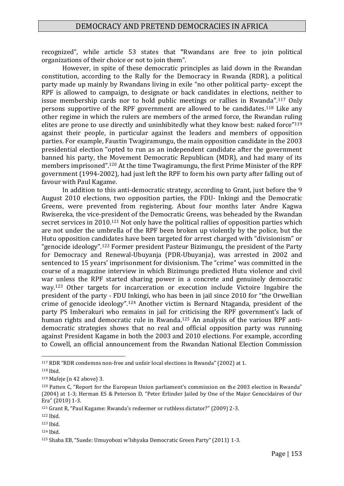recognized", while article 53 states that **"**Rwandans are free to join political organizations of their choice or not to join them".

However, in spite of these democratic principles as laid down in the Rwandan constitution, according to the Rally for the Democracy in Rwanda (RDR), a political party made up mainly by Rwandans living in exile "no other political party- except the RPF is allowed to campaign, to designate or back candidates in elections, neither to issue membership cards nor to hold public meetings or rallies in Rwanda".<sup>117</sup> Only persons supportive of the RPF government are allowed to be candidates. <sup>118</sup> Like any other regime in which the rulers are members of the armed force, the Rwandan ruling elites are prone to use directly and uninhibitedly what they know best: naked force"<sup>119</sup> against their people, in particular against the leaders and members of opposition parties. For example, Faustin Twagiramungu, the main opposition candidate in the 2003 presidential election "opted to run as an independent candidate after the government banned his party, the Movement Democratic Republican (MDR), and had many of its members imprisoned". <sup>120</sup> At the time Twagiramungu, the first Prime Minister of the RPF government (1994-2002), had just left the RPF to form his own party after falling out of favour with Paul Kagame.

In addition to this anti-democratic strategy, according to Grant, just before the 9 August 2010 elections, two opposition parties, the FDU- Inkingi and the Democratic Greens, were prevented from registering. About four months later Andre Kagwa Rwisereka, the vice-president of the Democratic Greens, was beheaded by the Rwandan secret services in 2010.<sup>121</sup> Not only have the political rallies of opposition parties which are not under the umbrella of the RPF been broken up violently by the police, but the Hutu opposition candidates have been targeted for arrest charged with "divisionism" or "genocide ideology". <sup>122</sup> Former president Pasteur Bizimungu, the president of the Party for Democracy and Renewal-Ubuyanja (PDR-Ubuyanja), was arrested in 2002 and sentenced to 15 years' imprisonment for divisionism. The "crime" was committed in the course of a magazine interview in which Bizimungu predicted Hutu violence and civil war unless the RPF started sharing power in a concrete and genuinely democratic way. <sup>123</sup> Other targets for incarceration or execution include Victoire Ingabire the president of the party - FDU Inkingi, who has been in jail since 2010 for "the Orwellian crime of genocide ideology". <sup>124</sup> Another victim is Bernard Ntaganda, president of the party PS Imberakuri who remains in jail for criticising the RPF government's lack of human rights and democratic rule in Rwanda. <sup>125</sup> An analysis of the various RPF antidemocratic strategies shows that no real and official opposition party was running against President Kagame in both the 2003 and 2010 elections. For example, according to Cowell, an official announcement from the Rwandan National Election Commission

<sup>117</sup> RDR "RDR condemns non-free and unfair local elections in Rwanda" (2002) at 1.

<sup>118</sup> Ibid.

 $119$  Mafeje (n 42 above) 3.

<sup>120</sup> Patten C, "Report for the European Union parliament's commission on the 2003 election in Rwanda" (2004) at 1-3; Herman ES & Peterson D, "Peter Erlinder Jailed by One of the Major Genocidaires of Our Era" (2010) 1-3.

<sup>121</sup> Grant R, "Paul Kagame: Rwanda's redeemer or ruthless dictator?" (2009) 2-3.

<sup>122</sup> Ibid.

<sup>123</sup> Ibid.

<sup>124</sup> Ibid.

<sup>125</sup> Shaba EB, "Suede: Umuyobozi w'Ishyaka Democratic Green Party" (2011) 1-3*.*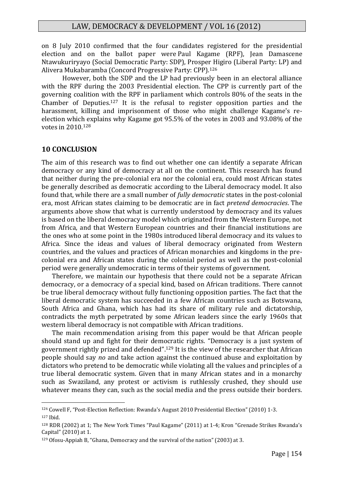on 8 July 2010 confirmed that the four candidates registered for the presidential election and on the ballot paper were Paul Kagame (RPF), Jean Damascene Ntawukuriryayo (Social Democratic Party: SDP), Prosper Higiro (Liberal Party: LP) and Alivera Mukabaramba (Concord Progressive Party: CPP). 126

However, both the SDP and the LP had previously been in an electoral alliance with the RPF during the 2003 Presidential election. The CPP is currently part of the governing coalition with the RPF in parliament which controls 80% of the seats in the Chamber of Deputies. <sup>127</sup> It is the refusal to register opposition parties and the harassment, killing and imprisonment of those who might challenge Kagame's reelection which explains why Kagame got 95.5% of the votes in 2003 and 93.08% of the votes in 2010. 128

#### **10 CONCLUSION**

1

The aim of this research was to find out whether one can identify a separate African democracy or any kind of democracy at all on the continent. This research has found that neither during the pre-colonial era nor the colonial era, could most African states be generally described as democratic according to the Liberal democracy model. It also found that, while there are a small number of *fully democratic* states in the post-colonial era, most African states claiming to be democratic are in fact *pretend democracies*. The arguments above show that what is currently understood by democracy and its values is based on the liberal democracy model which originated from the Western Europe, not from Africa, and that Western European countries and their financial institutions are the ones who at some point in the 1980s introduced liberal democracy and its values to Africa. Since the ideas and values of liberal democracy originated from Western countries, and the values and practices of African monarchies and kingdoms in the precolonial era and African states during the colonial period as well as the post-colonial period were generally undemocratic in terms of their systems of government.

Therefore, we maintain our hypothesis that there could not be a separate African democracy, or a democracy of a special kind, based on African traditions. There cannot be true liberal democracy without fully functioning opposition parties. The fact that the liberal democratic system has succeeded in a few African countries such as Botswana, South Africa and Ghana, which has had its share of military rule and dictatorship, contradicts the myth perpetrated by some African leaders since the early 1960s that western liberal democracy is not compatible with African traditions.

The main recommendation arising from this paper would be that African people should stand up and fight for their democratic rights. "Democracy is a just system of government rightly prized and defended". <sup>129</sup> It is the view of the researcher that African people should say *no* and take action against the continued abuse and exploitation by dictators who pretend to be democratic while violating all the values and principles of a true liberal democratic system. Given that in many African states and in a monarchy such as Swaziland, any protest or activism is ruthlessly crushed, they should use whatever means they can, such as the social media and the press outside their borders.

<sup>126</sup> Cowell F, "Post-Election Reflection: Rwanda's August 2010 Presidential Election" (2010) 1-3. <sup>127</sup> Ibid.

<sup>128</sup> RDR (2002) at 1; The New York Times "Paul Kagame" (2011) at 1-4; Kron "Grenade Strikes Rwanda's Capital" (2010) at 1.

<sup>129</sup> Ofosu-Appiah B, "Ghana, Democracy and the survival of the nation" (2003) at 3.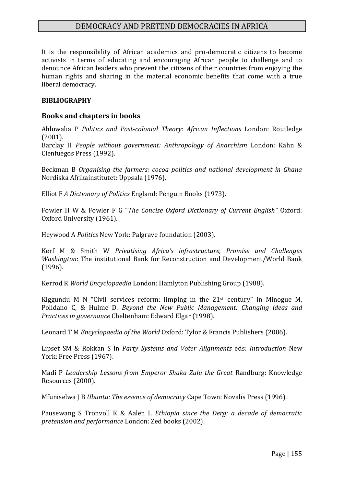It is the responsibility of African academics and pro-democratic citizens to become activists in terms of educating and encouraging African people to challenge and to denounce African leaders who prevent the citizens of their countries from enjoying the human rights and sharing in the material economic benefits that come with a true liberal democracy.

#### **BIBLIOGRAPHY**

#### **Books and chapters in books**

Ahluwalia P *Politics and Post-colonial Theory: African Inflections* London: Routledge (2001).

Barclay H *People without government: Anthropology of Anarchism* London: Kahn & Cienfuegos Press (1992).

Beckman B *Organising the farmers: cocoa politics and national development in Ghana* Nordiska Afrikainstitutet: Uppsala (1976).

Elliot F *A Dictionary of Politics* England: Penguin Books (1973).

Fowler H W & Fowler F G "*The Concise Oxford Dictionary of Current English"* Oxford: Oxford University (1961).

Heywood A *Politics* New York: Palgrave foundation (2003).

Kerf M & Smith W *Privatising Africa's infrastructure, Promise and Challenges Washington*: The institutional Bank for Reconstruction and Development/World Bank (1996).

Kerrod R *World Encyclopaedia* London: Hamlyton Publishing Group (1988).

Kiggundu M N "Civil services reform: limping in the 21st century" in Minogue M, Polidano C, & Hulme D. *Beyond the New Public Management: Changing ideas and Practices in governance* Cheltenham: Edward Elgar (1998).

Leonard T M *Encyclopaedia of the World* Oxford: Tylor & Francis Publishers (2006).

Lipset SM & Rokkan S in *Party Systems and Voter Alignments* eds: *Introduction* New York: Free Press (1967).

Madi P *Leadership Lessons from Emperor Shaka Zulu the Great* Randburg: Knowledge Resources (2000).

Mfuniselwa J B *Ubuntu: The essence of democracy* Cape Town: Novalis Press (1996).

Pausewang S Tronvoll K & Aalen L *Ethiopia since the Derg: a decade of democratic pretension and performance* London: Zed books (2002).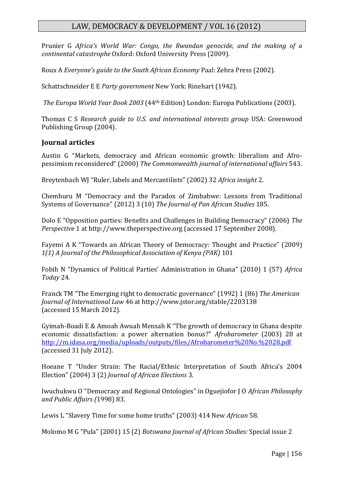Prunier G *Africa's World War: Congo, the Rwandan genocide, and the making of a continental catastrophe* Oxford: Oxford University Press (2009).

Roux A *Everyone's guide to the South African Economy* Paal: Zebra Press (2002).

Schattschneider E E *Party government* New York: Rinehart (1942).

*The Europa World Year Book 2003* (44th Edition) London: Europa Publications (2003).

Thomas C S *Research guide to U.S. and international interests group* USA: Greenwood Publishing Group (2004).

## **Journal articles**

Austin G "Markets, democracy and African economic growth: liberalism and Afropessimism reconsidered" (2000) *The Commonwealth journal of international affairs* 543.

Breytenbach WJ "Ruler, labels and Mercantilists" (2002) 32 *Africa insight* 2.

Chemhuru M "Democracy and the Paradox of Zimbabwe: Lessons from Traditional Systems of Governance" (2012) 3 (10) *The Journal of Pan African Studies* 185.

Dolo E "Opposition parties: Benefits and Challenges in Building Democracy" (2006) *The Perspective* 1 at http://www.theperspective.org (accessed 17 September 2008).

Fayemi A K "Towards an African Theory of Democracy: Thought and Practice" (2009) *1(1) A Journal of the Philosophical Association of Kenya (PAK)* 101

Fobih N "Dynamics of Political Parties' Administration in Ghana" (2010) 1 (57) *Africa Today* 24.

Franck TM "The Emerging right to democratic governance" (1992) 1 (86) *The American Journal of International Law* 46 at http://www.jstor.org/stable/2203138 (accessed 15 March 2012).

Gyimah-Boadi E & Amoah Awuah Mensah K "The growth of democracy in Ghana despite economic dissatisfaction: a power alternation bonus?" *Afrobarometer* (2003) 28 at <http://m.idasa.org/media/uploads/outputs/files/Afrobarometer%20No.%2028.pdf> (accessed 31 July 2012).

Hoeane T "Under Strain: The Racial/Ethnic Interpretation of South Africa's 2004 Election" (2004) 3 (2) *Journal of African Elections* 3.

Iwuchukwu O "Democracy and Regional Ontologies" in Oguejiofor J O *African Philosophy and Public Affairs (*1998) 83.

Lewis L "Slavery Time for some home truths" (2003) 414 New *African* 58.

Molomo M G "Pula" (2001) 15 (2) *Botswana Journal of African Studies:* Special issue 2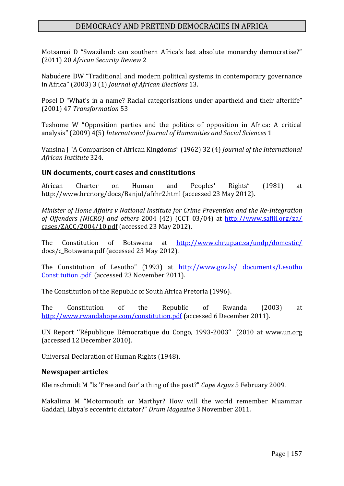Motsamai D "Swaziland: can southern Africa's last absolute monarchy democratise?" (2011) 20 *African Security Review* 2

Nabudere DW "Traditional and modern political systems in contemporary governance in Africa" (2003) 3 (1) *Journal of African Elections* 13.

Posel D "What's in a name? Racial categorisations under apartheid and their afterlife" (2001) 47 *Transformation* 53

Teshome W "Opposition parties and the politics of opposition in Africa: A critical analysis" (2009) 4(5) *International Journal of Humanities and Social Sciences* 1

Vansina J "A Comparison of African Kingdoms" (1962) 32 (4) *Journal of the International African Institute* 324.

#### **UN documents, court cases and constitutions**

African Charter on Human and Peoples' Rights" (1981) at http://www.hrcr.org/docs/Banjul/afrhr2.html (accessed 23 May 2012).

*Minister of Home Affairs v National Institute for Crime Prevention and the Re-Integration of Offenders (NICRO) and others* 2004 (42) (CCT 03/04) at<http://www.saflii.org/za/> cases/ZACC/2004/10.pdf (accessed 23 May 2012).

The Constitution of Botswana at <http://www.chr.up.ac.za/undp/domestic/> docs/c\_Botswana.pdf (accessed 23 May 2012).

The Constitution of Lesotho" (1993) at http://www.gov.ls/ documents/Lesotho [Constitution .pdf](http://www.gov.ls/%20documents/Lesotho%20Constitution%20.pdf) (accessed 23 November 2011).

The Constitution of the Republic of South Africa Pretoria (1996).

The Constitution of the Republic of Rwanda (2003) at <http://www.rwandahope.com/constitution.pdf> (accessed 6 December 2011).

UN Report ''République Démocratique du Congo, 1993-2003'' (2010 at www.un.org (accessed 12 December 2010).

Universal Declaration of Human Rights (1948).

#### **Newspaper articles**

Kleinschmidt M "Is 'Free and fair' a thing of the past?" *Cape Argus* 5 February 2009.

Makalima M "Motormouth or Marthyr? How will the world remember Muammar Gaddafi, Libya's eccentric dictator?" *Drum Magazine* 3 November 2011*.*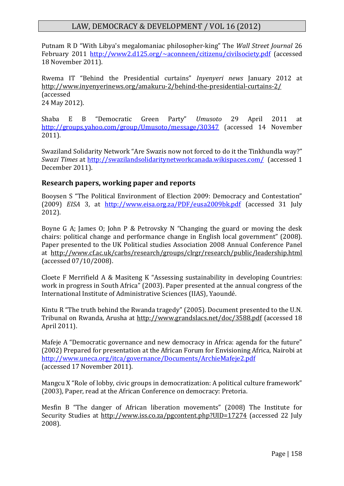Putnam R D "With Libya's megalomaniac philosopher-king" The *Wall Street Journal* 26 February 2011 <http://www2.d125.org/~aconneen/citizenu/civilsociety.pdf> (accessed 18 November 2011).

Rwema IT "Behind the Presidential curtains" *Inyenyeri news* January 2012 at http://www.inyenyerinews.org/amakuru-2/behind-the-presidential-curtains-2/ (accessed 24 May 2012).

Shaba E B "Democratic Green Party" *Umusoto* 29 April 2011 at <http://groups.yahoo.com/group/Umusoto/message/30347> (accessed 14 November 2011).

Swaziland Solidarity Network "Are Swazis now not forced to do it the Tinkhundla way?" *Swazi Times* at <http://swazilandsolidaritynetworkcanada.wikispaces.com/>(accessed 1 December 2011).

## **Research papers, working paper and reports**

Booysen S "The Political Environment of Election 2009: Democracy and Contestation" (2009) *EISA* 3, at <http://www.eisa.org.za/PDF/eusa2009bk.pdf> (accessed 31 July 2012).

Boyne G A; James O; John P & Petrovsky N "Changing the guard or moving the desk chairs: political change and performance change in English local government" (2008). Paper presented to the UK Political studies Association 2008 Annual Conference Panel at http://www.cf.ac.uk/carbs/research/groups/clrgr/research/public/leadership.html (accessed 07/10/2008).

Cloete F Merrifield A & Masiteng K "Assessing sustainability in developing Countries: work in progress in South Africa" (2003). Paper presented at the annual congress of the International Institute of Administrative Sciences (IIAS), Yaoundé.

Kintu R "The truth behind the Rwanda tragedy" (2005). Document presented to the U.N. Tribunal on Rwanda, Arusha at http://www.grandslacs.net/doc/3588.pdf (accessed 18 April 2011).

Mafeje A "Democratic governance and new democracy in Africa: agenda for the future" (2002) Prepared for presentation at the African Forum for Envisioning Africa, Nairobi at <http://www.uneca.org/itca/governance/Documents/ArchieMafeje2.pdf> (accessed 17 November 2011).

Mangcu X "Role of lobby, civic groups in democratization: A political culture framework" (2003), Paper, read at the African Conference on democracy: Pretoria.

Mesfin B "The danger of African liberation movements" (2008) The Institute for Security Studies at http://www.iss.co.za/pgcontent.php?UID=17274 (accessed 22 July 2008).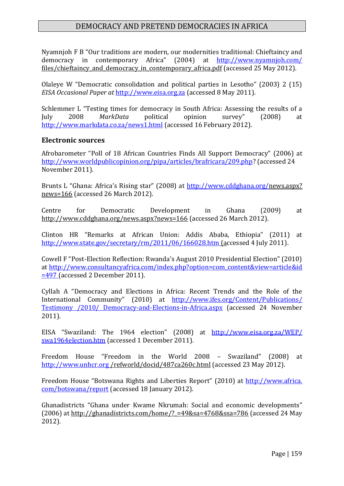Nyamnjoh F B "Our traditions are modern, our modernities traditional: Chieftaincy and democracy in contemporary Africa" (2004) at <http://www.nyamnjoh.com/> files/chieftaincy and democracy in contemporary africa.pdf (accessed 25 May 2012).

Olaleye W "Democratic consolidation and political parties in Lesotho" (2003) 2 (15) *EISA Occasional Paper at* [http://www.eisa.org.za](http://www.eisa.org.za/) (accessed 8 May 2011).

Schlemmer L "Testing times for democracy in South Africa: Assessing the results of a July 2008 *MarkData* political opinion survey" (2008) at <http://www.markdata.co.za/news1.html> (accessed 16 February 2012).

#### **Electronic sources**

Afrobarometer "Poll of 18 African Countries Finds All Support Democracy" (2006) at [http://www.worldpublicopinion.org/pipa/articles/brafricara/209.php?](http://www.worldpublicopinion.org/pipa/articles/brafricara/209.php) (accessed 24 November 2011).

Brunts L "Ghana: Africa's Rising star" (2008) at [http://www.cddghana.org/n](http://www.cddghana.org/)ews.aspx? news=166 (accessed 26 March 2012).

Centre for Democratic Development in Ghana (2009) at http://www.cddghana.org/news.aspx?news=166 (accessed 26 March 2012).

Clinton HR "Remarks at African Union: Addis Ababa, Ethiopia" (2011) at <http://www.state.gov/secretary/rm/2011/06/166028.htm> (accessed 4 July 2011).

Cowell F "Post-Election Reflection: Rwanda's August 2010 Presidential Election" (2010) at [http://www.consultancyafrica.com/index.php?option=com\\_content&view=article&id](http://www.consultancyafrica.com/index.php?option=com_content&view=article&id%20=497)  [=497](http://www.consultancyafrica.com/index.php?option=com_content&view=article&id%20=497) (accessed 2 December 2011).

Cyllah A "Democracy and Elections in Africa: Recent Trends and the Role of the International Community" (2010) at [http://www.ifes.org/Content/Publications/](http://www.ifes.org/Content/Publications/%20Testimony%20/2010/%20Democracy-and-Elections-in-Africa.aspx)  [Testimony /2010/ Democracy-and-Elections-in-Africa.aspx](http://www.ifes.org/Content/Publications/%20Testimony%20/2010/%20Democracy-and-Elections-in-Africa.aspx) (accessed 24 November 2011).

EISA "Swaziland: The 1964 election" (2008) at [http://www.eisa.org.za/WEP/](http://www.eisa.org.za/WEP/%20swa1964election.htm)  [swa1964election.htm](http://www.eisa.org.za/WEP/%20swa1964election.htm) (accessed 1 December 2011).

Freedom House "Freedom in the World 2008 – Swaziland" (2008) at [http://www.unhcr.org](http://www.unhcr.org/) /refworld/docid/487ca260c.html (accessed 23 May 2012).

Freedom House "Botswana Rights and Liberties Report" (2010) at http://www.africa. com/botswana/report (accessed 18 January 2012).

Ghanadistricts "Ghana under Kwame Nkrumah: Social and economic developments" (2006) at http://ghanadistricts.com/home/? =49&sa=4768&ssa=786 (accessed 24 May 2012).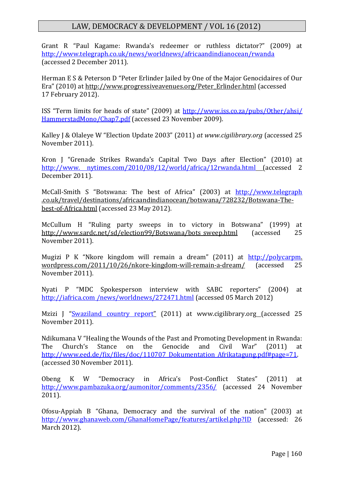Grant R "Paul Kagame: Rwanda's redeemer or ruthless dictator?" (2009) at <http://www.telegraph.co.uk/news/worldnews/africaandindianocean/rwanda> (accessed 2 December 2011).

Herman E S & Peterson D "Peter Erlinder Jailed by One of the Major Genocidaires of Our Era" (2010) at http://www.progressiveavenues.org/Peter\_Erlinder.html (accessed 17 February 2012).

ISS "Term limits for heads of state" (2009) at [http://www.iss.co.za/pubs/Other/ahsi/](http://www.iss.co.za/pubs/Other/ahsi/%20HammerstadMono/Chap7.pdf)  [HammerstadMono/Chap7.pdf](http://www.iss.co.za/pubs/Other/ahsi/%20HammerstadMono/Chap7.pdf) (accessed 23 November 2009).

Kalley J & Olaleye W "Election Update 2003" (2011) *at www.cigilibrary.org* (accessed 25 November 2011).

Kron J "Grenade Strikes Rwanda's Capital Two Days after Election" (2010) at http://www. nytimes.com/2010/08/12/world/africa/12rwanda.html (accessed 2 December 2011).

McCall-Smith S "Botswana: The best of Africa" (2003) at [http://www.telegraph](http://www.telegraph/) .co.uk/travel/destinations/africaandindianocean/botswana/728232/Botswana-Thebest-of-Africa.html (accessed 23 May 2012).

McCullum H "Ruling party sweeps in to victory in Botswana" (1999) at http://www.sardc.net/sd/election99/Botswana/bots\_sweep.html (accessed 25 November 2011).

Mugizi P K "Nkore kingdom will remain a dream" (2011) at [http://polycarpm.](http://polycarpm/) wordpress.com/2011/10/26/nkore-kingdom-will-remain-a-dream/ (accessed 25 November 2011).

Nyati P "MDC Spokesperson interview with SABC reporters" (2004) at http://iafrica.com /news/worldnews/272471.html (accessed 05 March 2012)

Mzizi J "[Swaziland country report](http://dspace.cigilibrary.org/jspui/handle/123456789/31514)" (2011) at www.cigilibrary.org (accessed 25 November 2011).

Ndikumana V "Healing the Wounds of the Past and Promoting Development in Rwanda: The Church's Stance on the Genocide and Civil War" (2011) at [http://www.eed.de/fix/files/doc/110707\\_Dokumentation\\_Afrikatagung.pdf#page=71.](http://www.eed.de/fix/files/doc/110707_Dokumentation_Afrikatagung.pdf#page=71) (accessed 30 November 2011).

Obeng K W "Democracy in Africa's Post-Conflict States" (2011) at <http://www.pambazuka.org/aumonitor/comments/2356/> (accessed 24 November 2011).

Ofosu-Appiah B "Ghana, Democracy and the survival of the nation" (2003) at <http://www.ghanaweb.com/GhanaHomePage/features/artikel.php?ID> (accessed: 26 March 2012).